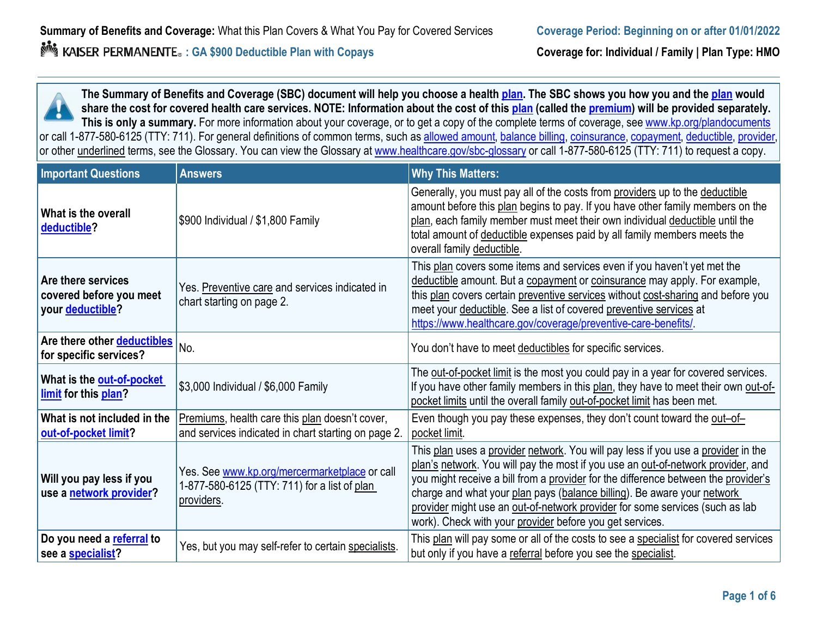**The Summary of Benefits and Coverage (SBC) document will help you choose a health [plan.](https://www.healthcare.gov/sbc-glossary/#plan) The SBC shows you how you and the [plan](https://www.healthcare.gov/sbc-glossary/#plan) [w](https://www.healthcare.gov/sbc-glossary/#plan)ould share the cost for covered health care services. NOTE: Information about the cost of this [plan](https://www.healthcare.gov/sbc-glossary/#plan) [\(](https://www.healthcare.gov/sbc-glossary/#plan)called the [premium\)](https://www.healthcare.gov/sbc-glossary/#premium) will be provided separately. This is only a summary.** For more information about your coverage, or to get a copy of the complete terms of coverage, see [www.kp.org/plandocuments](http://www.kp.org/plandocuments) or call 1-877-580-6125 (TTY: 711). For general definitions of common terms, such as <u>allowed amount, [balance billing,](https://www.healthcare.gov/sbc-glossary/#balance-billing) [coinsurance,](https://www.healthcare.gov/sbc-glossary/#coinsurance) [copayment,](https://www.healthcare.gov/sbc-glossary/#copayment) [deductible,](https://www.healthcare.gov/sbc-glossary/#deductible) [provider,](https://www.healthcare.gov/sbc-glossary/#provider)</u> or other <u>underlined</u> terms, see the Glossary. You can view the Glossary at [www.healthcare.gov/sbc-glossary](http://www.healthcare.gov/sbc-glossary) or call 1-877-580-6125 (TTY: 711) to request a copy.

| <b>Important Questions</b>                                        | <b>Answers</b>                                                                                              | <b>Why This Matters:</b>                                                                                                                                                                                                                                                                                                                                                                                                                                                           |
|-------------------------------------------------------------------|-------------------------------------------------------------------------------------------------------------|------------------------------------------------------------------------------------------------------------------------------------------------------------------------------------------------------------------------------------------------------------------------------------------------------------------------------------------------------------------------------------------------------------------------------------------------------------------------------------|
| What is the overall<br>deductible?                                | \$900 Individual / \$1,800 Family                                                                           | Generally, you must pay all of the costs from providers up to the deductible<br>amount before this plan begins to pay. If you have other family members on the<br>plan, each family member must meet their own individual deductible until the<br>total amount of deductible expenses paid by all family members meets the<br>overall family deductible.                                                                                                                           |
| Are there services<br>covered before you meet<br>your deductible? | Yes. Preventive care and services indicated in<br>chart starting on page 2.                                 | This plan covers some items and services even if you haven't yet met the<br>deductible amount. But a copayment or coinsurance may apply. For example,<br>this plan covers certain preventive services without cost-sharing and before you<br>meet your deductible. See a list of covered preventive services at<br>https://www.healthcare.gov/coverage/preventive-care-benefits/                                                                                                   |
| Are there other deductibles<br>for specific services?             | No.                                                                                                         | You don't have to meet deductibles for specific services.                                                                                                                                                                                                                                                                                                                                                                                                                          |
| What is the out-of-pocket<br>limit for this plan?                 | \$3,000 Individual / \$6,000 Family                                                                         | The out-of-pocket limit is the most you could pay in a year for covered services.<br>If you have other family members in this plan, they have to meet their own out-of-<br>pocket limits until the overall family out-of-pocket limit has been met.                                                                                                                                                                                                                                |
| What is not included in the<br>out-of-pocket limit?               | Premiums, health care this plan doesn't cover,<br>and services indicated in chart starting on page 2.       | Even though you pay these expenses, they don't count toward the out-of-<br>pocket limit.                                                                                                                                                                                                                                                                                                                                                                                           |
| Will you pay less if you<br>use a network provider?               | Yes. See www.kp.org/mercermarketplace or call<br>1-877-580-6125 (TTY: 711) for a list of plan<br>providers. | This plan uses a provider network. You will pay less if you use a provider in the<br>plan's network. You will pay the most if you use an out-of-network provider, and<br>you might receive a bill from a provider for the difference between the provider's<br>charge and what your plan pays (balance billing). Be aware your network<br>provider might use an out-of-network provider for some services (such as lab<br>work). Check with your provider before you get services. |
| Do you need a referral to<br>see a specialist?                    | Yes, but you may self-refer to certain specialists.                                                         | This plan will pay some or all of the costs to see a specialist for covered services<br>but only if you have a referral before you see the specialist.                                                                                                                                                                                                                                                                                                                             |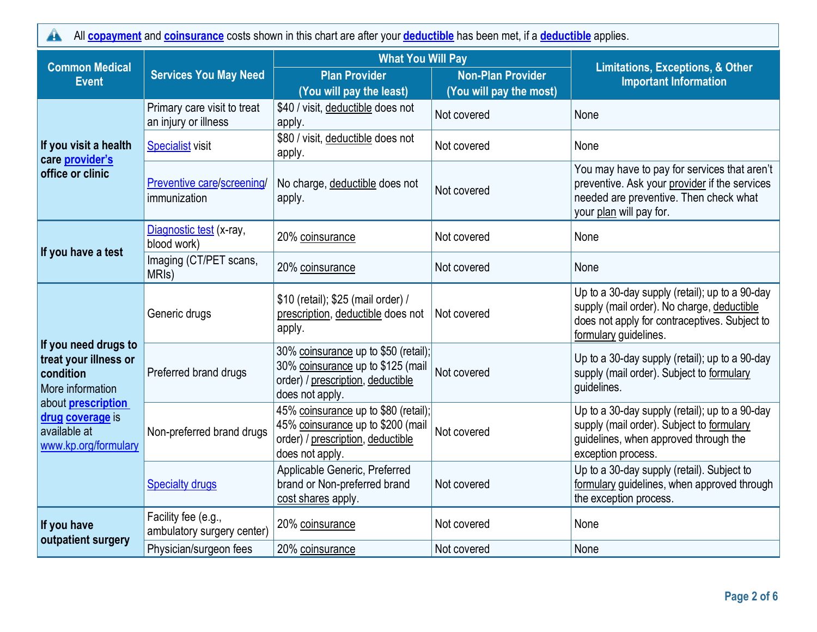All **[copayment](https://www.healthcare.gov/sbc-glossary/#copayment)** and**[coinsurance](https://www.healthcare.gov/sbc-glossary/#coinsurance)** costs shown in this chart are after your**[deductible](https://www.healthcare.gov/sbc-glossary/#deductible)** has been met, if a **[deductible](https://www.healthcare.gov/sbc-glossary/#deductible)** applies.  $\blacktriangle$ 

| <b>Common Medical</b>                                                                 | <b>Services You May Need</b>                        | <b>What You Will Pay</b>                                                                                                          |                                                     |                                                                                                                                                                        |  |
|---------------------------------------------------------------------------------------|-----------------------------------------------------|-----------------------------------------------------------------------------------------------------------------------------------|-----------------------------------------------------|------------------------------------------------------------------------------------------------------------------------------------------------------------------------|--|
| <b>Event</b>                                                                          |                                                     | <b>Plan Provider</b><br>(You will pay the least)                                                                                  | <b>Non-Plan Provider</b><br>(You will pay the most) | <b>Limitations, Exceptions, &amp; Other</b><br><b>Important Information</b>                                                                                            |  |
|                                                                                       | Primary care visit to treat<br>an injury or illness | \$40 / visit, deductible does not<br>apply.                                                                                       | Not covered                                         | None                                                                                                                                                                   |  |
| If you visit a health<br>care provider's                                              | <b>Specialist visit</b>                             | \$80 / visit, deductible does not<br>apply.                                                                                       | Not covered                                         | None                                                                                                                                                                   |  |
| office or clinic                                                                      | Preventive care/screening/<br>immunization          | No charge, deductible does not<br>apply.                                                                                          | Not covered                                         | You may have to pay for services that aren't<br>preventive. Ask your provider if the services<br>needed are preventive. Then check what<br>your plan will pay for.     |  |
|                                                                                       | Diagnostic test (x-ray,<br>blood work)              | 20% coinsurance                                                                                                                   | Not covered                                         | None                                                                                                                                                                   |  |
| If you have a test                                                                    | Imaging (CT/PET scans,<br>MRI <sub>s</sub> )        | 20% coinsurance                                                                                                                   | Not covered                                         | None                                                                                                                                                                   |  |
| If you need drugs to<br>treat your illness or<br>condition<br>More information        | Generic drugs                                       | \$10 (retail); \$25 (mail order) /<br>prescription, deductible does not<br>apply.                                                 | Not covered                                         | Up to a 30-day supply (retail); up to a 90-day<br>supply (mail order). No charge, deductible<br>does not apply for contraceptives. Subject to<br>formulary guidelines. |  |
|                                                                                       | Preferred brand drugs                               | 30% coinsurance up to \$50 (retail);<br>30% coinsurance up to \$125 (mail<br>order) / prescription, deductible<br>does not apply. | Not covered                                         | Up to a 30-day supply (retail); up to a 90-day<br>supply (mail order). Subject to formulary<br>guidelines.                                                             |  |
| about <b>prescription</b><br>drug coverage is<br>available at<br>www.kp.org/formulary | Non-preferred brand drugs                           | 45% coinsurance up to \$80 (retail);<br>45% coinsurance up to \$200 (mail<br>order) / prescription, deductible<br>does not apply. | Not covered                                         | Up to a 30-day supply (retail); up to a 90-day<br>supply (mail order). Subject to formulary<br>guidelines, when approved through the<br>exception process.             |  |
|                                                                                       | <b>Specialty drugs</b>                              | Applicable Generic, Preferred<br>brand or Non-preferred brand<br>cost shares apply.                                               | Not covered                                         | Up to a 30-day supply (retail). Subject to<br>formulary guidelines, when approved through<br>the exception process.                                                    |  |
| If you have<br>outpatient surgery                                                     | Facility fee (e.g.,<br>ambulatory surgery center)   | 20% coinsurance                                                                                                                   | Not covered                                         | None                                                                                                                                                                   |  |
|                                                                                       | Physician/surgeon fees                              | 20% coinsurance                                                                                                                   | Not covered                                         | None                                                                                                                                                                   |  |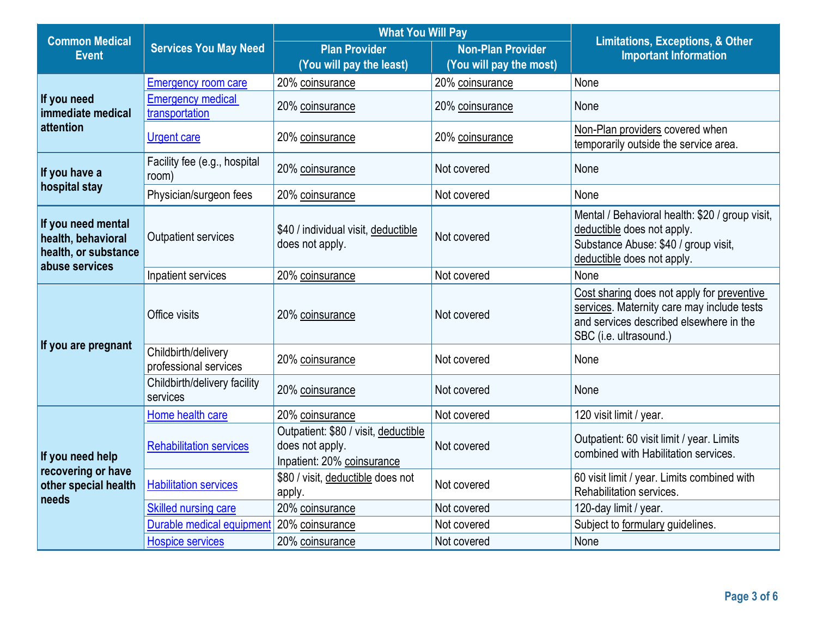| <b>Common Medical</b>                                                              |                                              | <b>What You Will Pay</b>                                                              |                                                     | <b>Limitations, Exceptions, &amp; Other</b>                                                                                                                   |  |
|------------------------------------------------------------------------------------|----------------------------------------------|---------------------------------------------------------------------------------------|-----------------------------------------------------|---------------------------------------------------------------------------------------------------------------------------------------------------------------|--|
| <b>Event</b>                                                                       | <b>Services You May Need</b>                 | <b>Plan Provider</b><br>(You will pay the least)                                      | <b>Non-Plan Provider</b><br>(You will pay the most) | <b>Important Information</b>                                                                                                                                  |  |
|                                                                                    | <b>Emergency room care</b>                   | 20% coinsurance                                                                       | 20% coinsurance                                     | None                                                                                                                                                          |  |
| If you need<br>immediate medical                                                   | <b>Emergency medical</b><br>transportation   | 20% coinsurance                                                                       | 20% coinsurance                                     | None                                                                                                                                                          |  |
| attention                                                                          | <b>Urgent care</b>                           | 20% coinsurance                                                                       | 20% coinsurance                                     | Non-Plan providers covered when<br>temporarily outside the service area.                                                                                      |  |
| If you have a                                                                      | Facility fee (e.g., hospital<br>room)        | 20% coinsurance                                                                       | Not covered                                         | None                                                                                                                                                          |  |
| hospital stay                                                                      | Physician/surgeon fees                       | 20% coinsurance                                                                       | Not covered                                         | None                                                                                                                                                          |  |
| If you need mental<br>health, behavioral<br>health, or substance<br>abuse services | Outpatient services                          | \$40 / individual visit, deductible<br>does not apply.                                | Not covered                                         | Mental / Behavioral health: \$20 / group visit,<br>deductible does not apply.<br>Substance Abuse: \$40 / group visit,<br>deductible does not apply.           |  |
|                                                                                    | Inpatient services                           | 20% coinsurance                                                                       | Not covered                                         | None                                                                                                                                                          |  |
| If you are pregnant                                                                | Office visits                                | 20% coinsurance                                                                       | Not covered                                         | Cost sharing does not apply for preventive<br>services. Maternity care may include tests<br>and services described elsewhere in the<br>SBC (i.e. ultrasound.) |  |
|                                                                                    | Childbirth/delivery<br>professional services | 20% coinsurance                                                                       | Not covered                                         | None                                                                                                                                                          |  |
|                                                                                    | Childbirth/delivery facility<br>services     | 20% coinsurance                                                                       | Not covered                                         | None                                                                                                                                                          |  |
|                                                                                    | Home health care                             | 20% coinsurance                                                                       | Not covered                                         | 120 visit limit / year.                                                                                                                                       |  |
| If you need help                                                                   | <b>Rehabilitation services</b>               | Outpatient: \$80 / visit, deductible<br>does not apply.<br>Inpatient: 20% coinsurance | Not covered                                         | Outpatient: 60 visit limit / year. Limits<br>combined with Habilitation services.                                                                             |  |
| recovering or have<br>other special health<br>needs                                | <b>Habilitation services</b>                 | \$80 / visit, deductible does not<br>apply.                                           | Not covered                                         | 60 visit limit / year. Limits combined with<br>Rehabilitation services.                                                                                       |  |
|                                                                                    | <b>Skilled nursing care</b>                  | 20% coinsurance                                                                       | Not covered                                         | 120-day limit / year.                                                                                                                                         |  |
|                                                                                    | Durable medical equipment                    | 20% coinsurance                                                                       | Not covered                                         | Subject to formulary guidelines.                                                                                                                              |  |
|                                                                                    | <b>Hospice services</b>                      | 20% coinsurance                                                                       | Not covered                                         | None                                                                                                                                                          |  |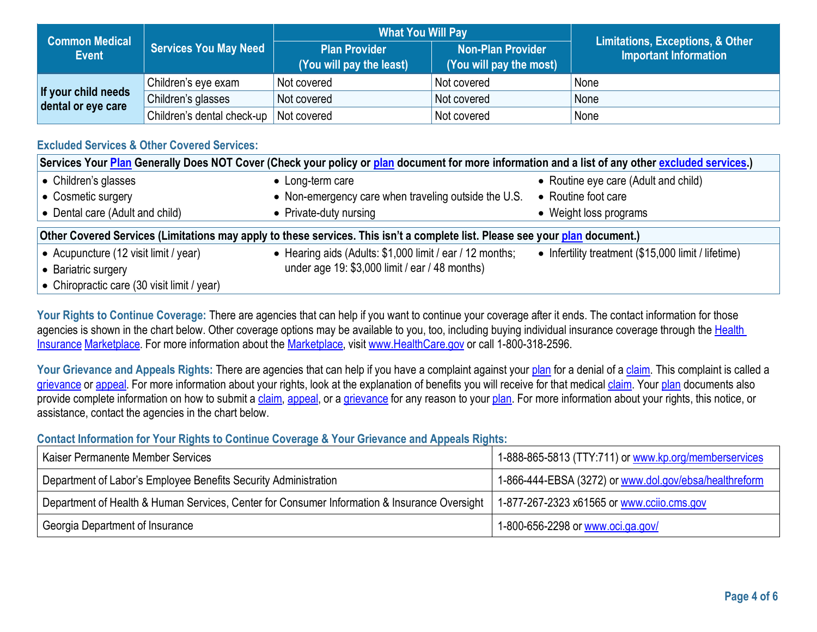| <b>Common Medical</b>                     |                                          | <b>What You Will Pay</b>                         |                                                     | <b>Limitations, Exceptions, &amp; Other</b> |
|-------------------------------------------|------------------------------------------|--------------------------------------------------|-----------------------------------------------------|---------------------------------------------|
| <b>Event</b>                              | <b>Services You May Need</b>             | <b>Plan Provider</b><br>(You will pay the least) | <b>Non-Plan Provider</b><br>(You will pay the most) | <b>Important Information</b>                |
|                                           | Children's eye exam                      | Not covered                                      | Not covered                                         | None                                        |
| If your child needs<br>dental or eye care | Children's glasses                       | Not covered                                      | Not covered                                         | None                                        |
|                                           | Children's dental check-up   Not covered |                                                  | Not covered                                         | None                                        |

# **Excluded Services & Other Covered Services:**

| Services Your Plan Generally Does NOT Cover (Check your policy or plan document for more information and a list of any other excluded services.) |                                                          |                                                     |  |
|--------------------------------------------------------------------------------------------------------------------------------------------------|----------------------------------------------------------|-----------------------------------------------------|--|
| • Children's glasses                                                                                                                             | • Long-term care                                         | • Routine eye care (Adult and child)                |  |
| • Cosmetic surgery                                                                                                                               | • Non-emergency care when traveling outside the U.S.     | • Routine foot care                                 |  |
| • Dental care (Adult and child)                                                                                                                  | • Private-duty nursing                                   | • Weight loss programs                              |  |
| Other Covered Services (Limitations may apply to these services. This isn't a complete list. Please see your plan document.)                     |                                                          |                                                     |  |
|                                                                                                                                                  |                                                          |                                                     |  |
| • Acupuncture (12 visit limit / year)                                                                                                            | • Hearing aids (Adults: \$1,000 limit / ear / 12 months; | • Infertility treatment (\$15,000 limit / lifetime) |  |
| • Bariatric surgery                                                                                                                              | under age 19: \$3,000 limit / ear / 48 months)           |                                                     |  |

Your Rights to Continue Coverage: There are agencies that can help if you want to continue your coverage after it ends. The contact information for those agencies is shown in the chart below. Other coverage options may be available to you, too, including buying individual insurance coverage through the Health [Insurance](https://www.healthcare.gov/sbc-glossary/#health-insurance) [Marketplace.](https://www.healthcare.gov/sbc-glossary/#marketplace) For more information about the [Marketplace,](https://www.healthcare.gov/sbc-glossary/#marketplace) visit [www.HealthCare.gov](http://www.healthcare.gov/) [o](http://www.healthcare.gov/)r call 1-800-318-2596.

Your Grievance and Appeals Rights: There are agencies that can help if you have a complaint against you[r plan](https://www.healthcare.gov/sbc-glossary/#plan) for a denial of a [claim.](https://www.healthcare.gov/sbc-glossary/#claim) This complaint is called a [grievance](https://www.healthcare.gov/sbc-glossary/#grievance) or [appeal.](https://www.healthcare.gov/sbc-glossary/#appeal) For more information about your rights, look at the explanation of benefits you will receive for that medical [claim.](https://www.healthcare.gov/sbc-glossary/#claim) Your [plan](https://www.healthcare.gov/sbc-glossary/#plan) [d](https://www.healthcare.gov/sbc-glossary/#plan)ocuments also provide complete information on how to submit a [claim,](https://www.healthcare.gov/sbc-glossary/#claim) [appeal,](https://www.healthcare.gov/sbc-glossary/#appeal) or a [grievance](https://www.healthcare.gov/sbc-glossary/#grievance) for any reason to your [plan.](https://www.healthcare.gov/sbc-glossary/#plan) For more information about your rights, this notice, or assistance, contact the agencies in the chart below.

### **Contact Information for Your Rights to Continue Coverage & Your Grievance and Appeals Rights:**

| Kaiser Permanente Member Services                                                            | 1-888-865-5813 (TTY:711) or www.kp.org/memberservices  |
|----------------------------------------------------------------------------------------------|--------------------------------------------------------|
| Department of Labor's Employee Benefits Security Administration                              | 1-866-444-EBSA (3272) or www.dol.gov/ebsa/healthreform |
| Department of Health & Human Services, Center for Consumer Information & Insurance Oversight | 1-877-267-2323 x61565 or www.ccijo.cms.gov             |
| Georgia Department of Insurance                                                              | 1-800-656-2298 or www.oci.ga.gov/                      |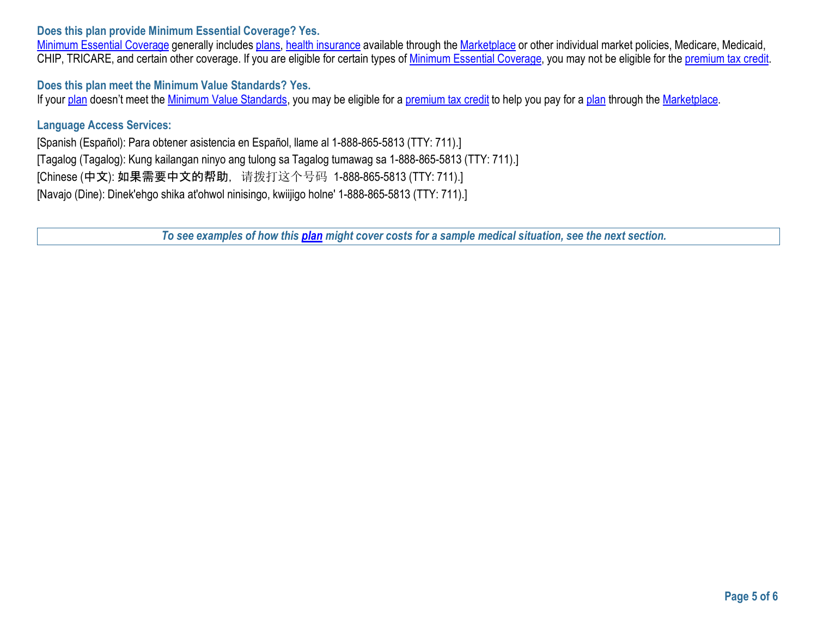#### **Does this plan provide Minimum Essential Coverage? Yes.**

[Minimum Essential Coverage](https://www.healthcare.gov/sbc-glossary/#minimum-essential-coverage) [g](https://www.healthcare.gov/sbc-glossary/#minimum-essential-coverage)enerally includes [plans,](https://www.healthcare.gov/sbc-glossary/#plan) [health insurance](https://www.healthcare.gov/sbc-glossary/#health-insurance) available through the [Marketplace](https://www.healthcare.gov/sbc-glossary/#marketplace) or other individual market policies, Medicare, Medicaid, CHIP, TRICARE, and certain other coverage. If you are eligible for certain types of [Minimum Essential Coverage,](https://www.healthcare.gov/sbc-glossary/#minimum-essential-coverage) you may not be eligible for the [premium tax credit.](https://www.healthcare.gov/sbc-glossary/#premium-tax-credits)

### **Does this plan meet the Minimum Value Standards? Yes.**

If your [plan](https://www.healthcare.gov/sbc-glossary/#plan) doesn't meet the [Minimum Value Standards,](https://www.healthcare.gov/sbc-glossary/#minimum-value-standard) you may be eligible for a [premium tax credit](https://www.healthcare.gov/sbc-glossary/#premium-tax-credits) [t](https://www.healthcare.gov/sbc-glossary/#premium-tax-credits)o help you pay for a plan through the [Marketplace.](https://www.healthcare.gov/sbc-glossary/#marketplace)

#### **Language Access Services:**

[Spanish (Español): Para obtener asistencia en Español, llame al 1-888-865-5813 (TTY: 711).] [Tagalog (Tagalog): Kung kailangan ninyo ang tulong sa Tagalog tumawag sa 1-888-865-5813 (TTY: 711).] [Chinese (中文): 如果需要中文的帮助, 请拨打这个号码 1-888-865-5813 (TTY: 711).] [Navajo (Dine): Dinek'ehgo shika at'ohwol ninisingo, kwiijigo holne' 1-888-865-5813 (TTY: 711).]

*To see examples of how this [plan](https://www.healthcare.gov/sbc-glossary/#plan) might cover costs for a sample medical situation, see the next section.*